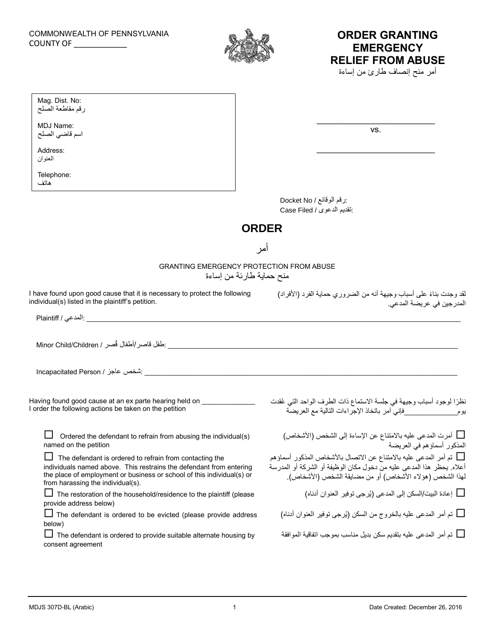

## **ORDER GRANTING EMERGENCY RELIEF FROM ABUSE**

أمر منح إنصاف طارئ من إساءة

| Mag. Dist. No:<br>رقم مقاطعة الصلح |                          |     |  |
|------------------------------------|--------------------------|-----|--|
| MDJ Name:<br>اسم قاضي الصلح        |                          | VS. |  |
| Address:<br>العنوان                |                          |     |  |
| Telephone:<br>هاتف                 |                          |     |  |
|                                    | :رقم الوقائع / Docket No |     |  |

:تقديم الدعوى / Filed Case

## **ORDER**

أمر

GRANTING EMERGENCY PROTECTION FROM ABUSE

منح حماية طارئة من إساءة

I have found upon good cause that it is necessary to protect the following individual(s) listed in the plaintiff's petition.

\_\_\_\_\_\_\_\_\_\_\_\_\_\_\_\_\_\_\_\_\_\_\_\_\_\_\_\_\_\_\_\_\_\_\_\_\_\_\_\_\_\_\_\_\_\_\_\_\_\_\_\_\_\_\_\_\_\_\_\_\_\_\_\_\_\_\_\_\_\_\_\_\_\_\_\_\_\_\_\_\_\_\_\_\_\_\_\_\_\_\_\_\_\_\_\_\_\_ :المدعي / Plaintiff

ً لقد وجدت بناء على أسباب وجيهة أنه من الضروري حماية الفرد )األفراد( المدرجين في عريضة المدعي.

\_\_\_\_\_\_\_\_\_\_\_\_\_\_\_\_\_\_\_\_\_\_\_\_\_\_\_\_\_\_\_\_\_\_\_\_\_\_\_\_\_\_\_\_\_\_\_\_\_\_\_\_\_\_\_\_\_\_\_\_\_\_\_\_\_\_\_\_\_\_\_\_\_\_\_\_ :طفل قاصر/أطفال قُصر / Children/Child Minor

 $\blacksquare$ hcapacitated Person / شخص عاجز /

Having found good cause at an ex parte hearing held on I order the following actions be taken on the petition

 $\Box$  Ordered the defendant to refrain from abusing the individual(s) named on the petition

 $\Box$  The defendant is ordered to refrain from contacting the individuals named above. This restrains the defendant from entering the place of employment or business or school of this individual(s) or from harassing the individual(s).

 $\Box$  The restoration of the household/residence to the plaintiff (please provide address below)

 $\Box$  The defendant is ordered to be evicted (please provide address below)

 $\Box$  The defendant is ordered to provide suitable alternate housing by consent agreement

نظرًا لوجود أسباب وجيهة في جلسة الاستماع ذات الطرف الواحد التي عُقدت يوم\_\_\_\_\_\_\_\_\_\_\_\_\_\_فإني آمر باتخاذ اإلجراءات التالية مع العريضة

 أمرت المدعى عليه باالمتناع عن اإلساءة إلى الشخص )األشخاص( المذكور أسماؤهم في العريضة

 تم أمر المدعى عليه باالمتناع عن االتصال باألشخاص المذكور أسماؤهم أعاله. يحظر هذا المدعى عليه من دخول مكان الوظيفة أو الشركة أو المدرسة لهذا الشخص (هؤ لاء الأشخاص) أو من مضايقة الشخص (الأشخاص).

إعادة البيت/السكن إلى المدعى )يُرجى توفير العنوان أدناه(

تم أمر المدعى عليه بالخروج من السكن (يُرجى توفير العنوان أدناه)  $\square$ 

تم أمر المدعى عليه بتقديم سكن بديل مناسب بموجب اتفاقية الموافقة